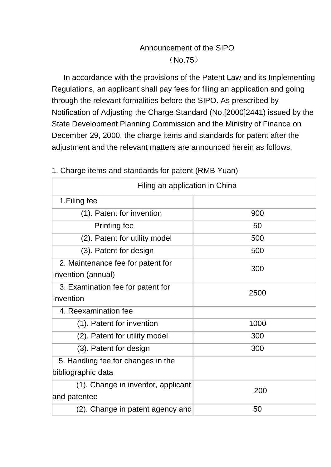## Announcement of the SIPO (No.75)

In accordance with the provisions of the Patent Law and its Implementing Regulations, an applicant shall pay fees for filing an application and going through the relevant formalities before the SIPO. As prescribed by Notification of Adjusting the Charge Standard (No.[2000]2441) issued by the State Development Planning Commission and the Ministry of Finance on December 29, 2000, the charge items and standards for patent after the adjustment and the relevant matters are announced herein as follows.

| Filing an application in China     |      |
|------------------------------------|------|
| 1. Filing fee                      |      |
| (1). Patent for invention          | 900  |
| <b>Printing fee</b>                | 50   |
| (2). Patent for utility model      | 500  |
| (3). Patent for design             | 500  |
| 2. Maintenance fee for patent for  | 300  |
| invention (annual)                 |      |
| 3. Examination fee for patent for  | 2500 |
| invention                          |      |
| 4. Reexamination fee               |      |
| (1). Patent for invention          | 1000 |
| (2). Patent for utility model      | 300  |
| (3). Patent for design             | 300  |
| 5. Handling fee for changes in the |      |
| bibliographic data                 |      |
| (1). Change in inventor, applicant | 200  |
| and patentee                       |      |
| (2). Change in patent agency and   | 50   |

## 1. Charge items and standards for patent (RMB Yuan)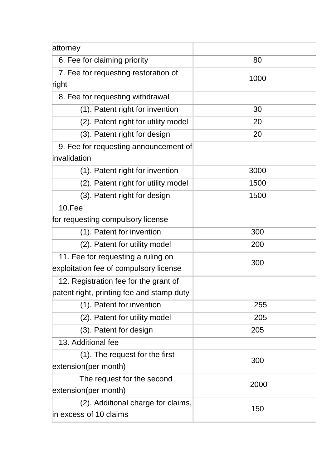| attorney                                  |      |
|-------------------------------------------|------|
| 6. Fee for claiming priority              | 80   |
| 7. Fee for requesting restoration of      | 1000 |
| right                                     |      |
| 8. Fee for requesting withdrawal          |      |
| (1). Patent right for invention           | 30   |
| (2). Patent right for utility model       | 20   |
| (3). Patent right for design              | 20   |
| 9. Fee for requesting announcement of     |      |
| invalidation                              |      |
| (1). Patent right for invention           | 3000 |
| (2). Patent right for utility model       | 1500 |
| (3). Patent right for design              | 1500 |
| <b>10.Fee</b>                             |      |
| for requesting compulsory license         |      |
| (1). Patent for invention                 | 300  |
| (2). Patent for utility model             | 200  |
| 11. Fee for requesting a ruling on        | 300  |
| exploitation fee of compulsory license    |      |
| 12. Registration fee for the grant of     |      |
| patent right, printing fee and stamp duty |      |
| (1). Patent for invention                 | 255  |
| (2). Patent for utility model             | 205  |
| (3). Patent for design                    | 205  |
| 13. Additional fee                        |      |
| (1). The request for the first            | 300  |
| extension(per month)                      |      |
| The request for the second                | 2000 |
| extension(per month)                      |      |
| (2). Additional charge for claims,        | 150  |
| in excess of 10 claims                    |      |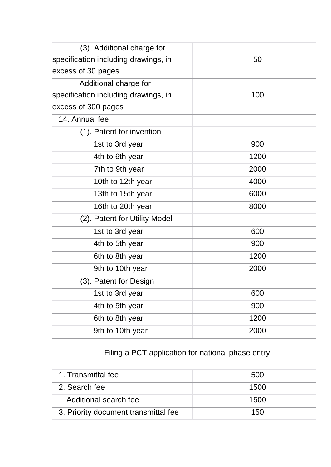| (3). Additional charge for                        |      |
|---------------------------------------------------|------|
| specification including drawings, in              | 50   |
| excess of 30 pages                                |      |
| Additional charge for                             |      |
| specification including drawings, in              | 100  |
| excess of 300 pages                               |      |
| 14. Annual fee                                    |      |
| (1). Patent for invention                         |      |
| 1st to 3rd year                                   | 900  |
| 4th to 6th year                                   | 1200 |
| 7th to 9th year                                   | 2000 |
| 10th to 12th year                                 | 4000 |
| 13th to 15th year                                 | 6000 |
| 16th to 20th year                                 | 8000 |
| (2). Patent for Utility Model                     |      |
| 1st to 3rd year                                   | 600  |
| 4th to 5th year                                   | 900  |
| 6th to 8th year                                   | 1200 |
| 9th to 10th year                                  | 2000 |
| (3). Patent for Design                            |      |
| 1st to 3rd year                                   | 600  |
| 4th to 5th year                                   | 900  |
| 6th to 8th year                                   | 1200 |
| 9th to 10th year                                  | 2000 |
| Filing a PCT application for national phase entry |      |
| 1. Transmittal fee                                | 500  |
| 2. Search fee                                     | 1500 |
| Additional search fee                             | 1500 |
| 3. Priority document transmittal fee              | 150  |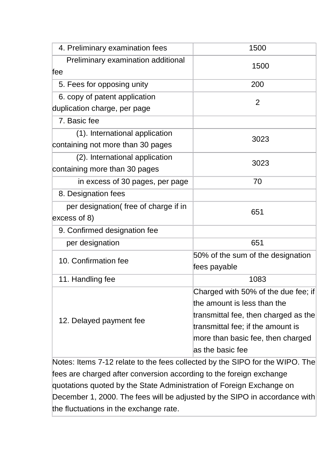| 4. Preliminary examination fees       | 1500                                 |
|---------------------------------------|--------------------------------------|
| Preliminary examination additional    |                                      |
| fee                                   | 1500                                 |
| 5. Fees for opposing unity            | 200                                  |
| 6. copy of patent application         | 2                                    |
| duplication charge, per page          |                                      |
| 7. Basic fee                          |                                      |
| (1). International application        | 3023                                 |
| containing not more than 30 pages     |                                      |
| (2). International application        | 3023                                 |
| containing more than 30 pages         |                                      |
| in excess of 30 pages, per page       | 70                                   |
| 8. Designation fees                   |                                      |
| per designation (free of charge if in | 651                                  |
| excess of 8)                          |                                      |
| 9. Confirmed designation fee          |                                      |
| per designation                       | 651                                  |
| 10. Confirmation fee                  | 50% of the sum of the designation    |
|                                       | fees payable                         |
| 11. Handling fee                      | 1083                                 |
| 12. Delayed payment fee               | Charged with 50% of the due fee; if  |
|                                       | the amount is less than the          |
|                                       | transmittal fee, then charged as the |
|                                       | transmittal fee; if the amount is    |
|                                       | more than basic fee, then charged    |
|                                       | as the basic fee                     |

Notes: Items 7-12 relate to the fees collected by the SIPO for the WIPO. The fees are charged after conversion according to the foreign exchange quotations quoted by the State Administration of Foreign Exchange on December 1, 2000. The fees will be adjusted by the SIPO in accordance with the fluctuations in the exchange rate.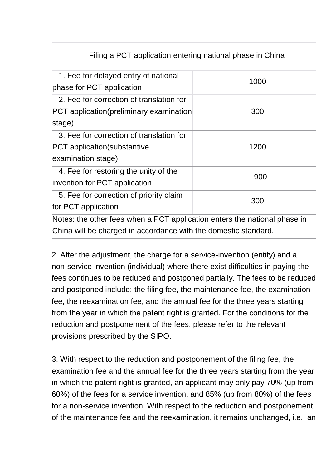| Filing a PCT application entering national phase in China                                                                                    |      |
|----------------------------------------------------------------------------------------------------------------------------------------------|------|
| 1. Fee for delayed entry of national<br>phase for PCT application                                                                            | 1000 |
| 2. Fee for correction of translation for<br><b>PCT</b> application(preliminary examination<br>stage)                                         | 300  |
| 3. Fee for correction of translation for<br><b>PCT</b> application (substantive<br>examination stage)                                        | 1200 |
| 4. Fee for restoring the unity of the<br>invention for PCT application                                                                       | 900  |
| 5. Fee for correction of priority claim<br>for PCT application                                                                               | 300  |
| Notes: the other fees when a PCT application enters the national phase in<br>China will be charged in accordance with the domestic standard. |      |

2. After the adjustment, the charge for a service-invention (entity) and a non-service invention (individual) where there exist difficulties in paying the fees continues to be reduced and postponed partially. The fees to be reduced and postponed include: the filing fee, the maintenance fee, the examination fee, the reexamination fee, and the annual fee for the three years starting from the year in which the patent right is granted. For the conditions for the reduction and postponement of the fees, please refer to the relevant provisions prescribed by the SIPO.

3. With respect to the reduction and postponement of the filing fee, the examination fee and the annual fee for the three years starting from the year in which the patent right is granted, an applicant may only pay 70% (up from 60%) of the fees for a service invention, and 85% (up from 80%) of the fees for a non-service invention. With respect to the reduction and postponement of the maintenance fee and the reexamination, it remains unchanged, i.e., an